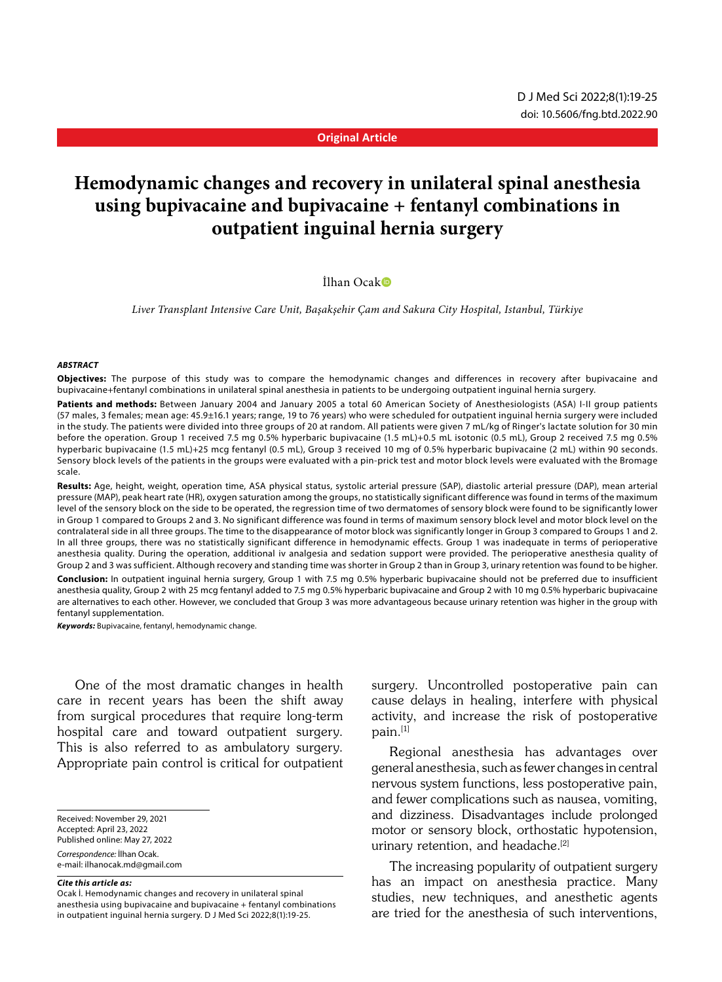**Original Article**

# **Hemodynamic changes and recovery in unilateral spinal anesthesia using bupivacaine and bupivacaine + fentanyl combinations in outpatient inguinal hernia surgery**

#### İlhan Ocak

*Liver Transplant Intensive Care Unit, Başakşehir Çam and Sakura City Hospital, Istanbul, Türkiye*

#### *ABSTRACT*

**Objectives:** The purpose of this study was to compare the hemodynamic changes and differences in recovery after bupivacaine and bupivacaine+fentanyl combinations in unilateral spinal anesthesia in patients to be undergoing outpatient inguinal hernia surgery.

Patients and methods: Between January 2004 and January 2005 a total 60 American Society of Anesthesiologists (ASA) I-II group patients (57 males, 3 females; mean age: 45.9±16.1 years; range, 19 to 76 years) who were scheduled for outpatient inguinal hernia surgery were included in the study. The patients were divided into three groups of 20 at random. All patients were given 7 mL/kg of Ringer's lactate solution for 30 min before the operation. Group 1 received 7.5 mg 0.5% hyperbaric bupivacaine (1.5 mL)+0.5 mL isotonic (0.5 mL), Group 2 received 7.5 mg 0.5% hyperbaric bupivacaine (1.5 mL)+25 mcg fentanyl (0.5 mL), Group 3 received 10 mg of 0.5% hyperbaric bupivacaine (2 mL) within 90 seconds. Sensory block levels of the patients in the groups were evaluated with a pin-prick test and motor block levels were evaluated with the Bromage scale.

**Results:** Age, height, weight, operation time, ASA physical status, systolic arterial pressure (SAP), diastolic arterial pressure (DAP), mean arterial pressure (MAP), peak heart rate (HR), oxygen saturation among the groups, no statistically significant difference was found in terms of the maximum level of the sensory block on the side to be operated, the regression time of two dermatomes of sensory block were found to be significantly lower in Group 1 compared to Groups 2 and 3. No significant difference was found in terms of maximum sensory block level and motor block level on the contralateral side in all three groups. The time to the disappearance of motor block was significantly longer in Group 3 compared to Groups 1 and 2. In all three groups, there was no statistically significant difference in hemodynamic effects. Group 1 was inadequate in terms of perioperative anesthesia quality. During the operation, additional iv analgesia and sedation support were provided. The perioperative anesthesia quality of Group 2 and 3 was sufficient. Although recovery and standing time was shorter in Group 2 than in Group 3, urinary retention was found to be higher.

**Conclusion:** In outpatient inguinal hernia surgery, Group 1 with 7.5 mg 0.5% hyperbaric bupivacaine should not be preferred due to insufficient anesthesia quality, Group 2 with 25 mcg fentanyl added to 7.5 mg 0.5% hyperbaric bupivacaine and Group 2 with 10 mg 0.5% hyperbaric bupivacaine are alternatives to each other. However, we concluded that Group 3 was more advantageous because urinary retention was higher in the group with fentanyl supplementation.

*Keywords:* Bupivacaine, fentanyl, hemodynamic change.

One of the most dramatic changes in health care in recent years has been the shift away from surgical procedures that require long-term hospital care and toward outpatient surgery. This is also referred to as ambulatory surgery. Appropriate pain control is critical for outpatient

Received: November 29, 2021

Accepted: April 23, 2022 Published online: May 27, 2022

*Correspondence:* İlhan Ocak.

e-mail: ilhanocak.md@gmail.com

*Cite this article as:*

Ocak İ. Hemodynamic changes and recovery in unilateral spinal anesthesia using bupivacaine and bupivacaine + fentanyl combinations in outpatient inguinal hernia surgery. D J Med Sci 2022;8(1):19-25.

surgery. Uncontrolled postoperative pain can cause delays in healing, interfere with physical activity, and increase the risk of postoperative pain.[1]

Regional anesthesia has advantages over general anesthesia, such as fewer changes in central nervous system functions, less postoperative pain, and fewer complications such as nausea, vomiting, and dizziness. Disadvantages include prolonged motor or sensory block, orthostatic hypotension, urinary retention, and headache.<sup>[2]</sup>

The increasing popularity of outpatient surgery has an impact on anesthesia practice. Many studies, new techniques, and anesthetic agents are tried for the anesthesia of such interventions,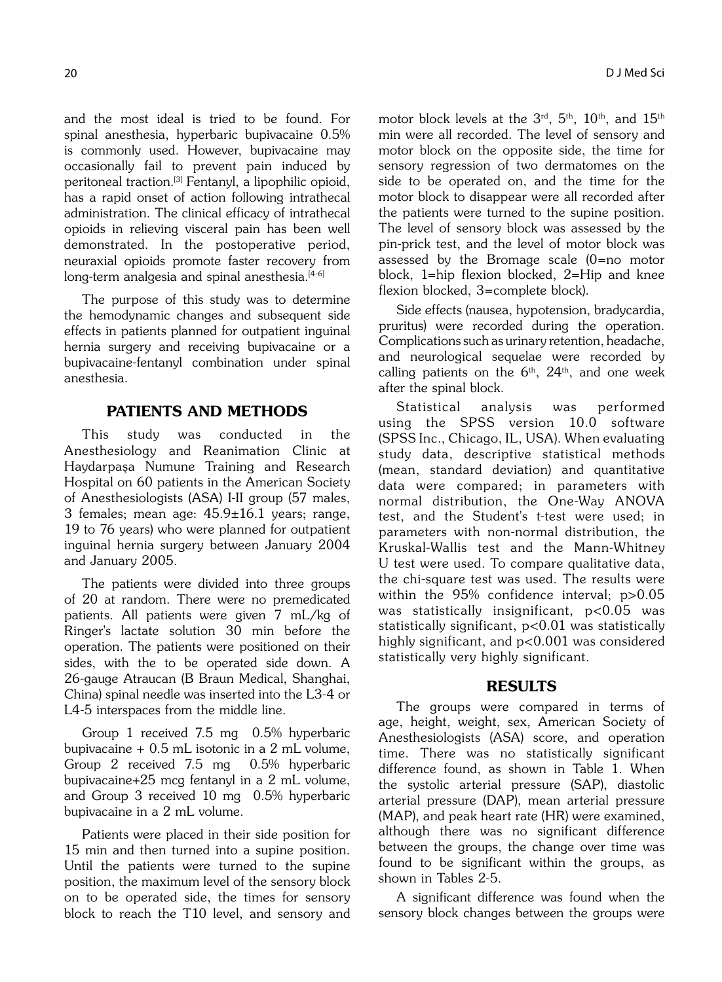and the most ideal is tried to be found. For spinal anesthesia, hyperbaric bupivacaine 0.5% is commonly used. However, bupivacaine may occasionally fail to prevent pain induced by peritoneal traction.[3] Fentanyl, a lipophilic opioid, has a rapid onset of action following intrathecal administration. The clinical efficacy of intrathecal opioids in relieving visceral pain has been well demonstrated. In the postoperative period, neuraxial opioids promote faster recovery from long-term analgesia and spinal anesthesia.<sup>[4-6]</sup>

The purpose of this study was to determine the hemodynamic changes and subsequent side effects in patients planned for outpatient inguinal hernia surgery and receiving bupivacaine or a bupivacaine-fentanyl combination under spinal anesthesia.

# PATIENTS AND METHODS

This study was conducted in the Anesthesiology and Reanimation Clinic at Haydarpaa Numune Training and Research Hospital on 60 patients in the American Society of Anesthesiologists (ASA) I-II group (57 males, 3 females; mean age:  $45.9 \pm 16.1$  years; range, 19 to 76 years) who were planned for outpatient inguinal hernia surgery between January 2004 and January 2005.

The patients were divided into three groups of 20 at random. There were no premedicated patients. All patients were given 7 mL/kg of Ringer's lactate solution 30 min before the operation. The patients were positioned on their sides, with the to be operated side down. A 26-gauge Atraucan (B Braun Medical, Shanghai, China) spinal needle was inserted into the L3-4 or L4-5 interspaces from the middle line.

Group 1 received 7.5 mg 0.5% hyperbaric bupivacaine  $+$  0.5 mL isotonic in a 2 mL volume, Group 2 received 7.5 mg 0.5% hyperbaric bupivacaine+25 mcg fentanyl in a 2 mL volume, and Group 3 received 10 mg 0.5% hyperbaric bupivacaine in a 2 mL volume.

Patients were placed in their side position for 15 min and then turned into a supine position. Until the patients were turned to the supine position, the maximum level of the sensory block on to be operated side, the times for sensory block to reach the T10 level, and sensory and motor block levels at the 3<sup>rd</sup>, 5<sup>th</sup>, 10<sup>th</sup>, and 15<sup>th</sup> min were all recorded. The level of sensory and motor block on the opposite side, the time for sensory regression of two dermatomes on the side to be operated on, and the time for the motor block to disappear were all recorded after the patients were turned to the supine position. The level of sensory block was assessed by the pin-prick test, and the level of motor block was assessed by the Bromage scale (0=no motor block, 1=hip flexion blocked, 2=Hip and knee flexion blocked, 3=complete block).

Side effects (nausea, hypotension, bradycardia, pruritus) were recorded during the operation. Complications such as urinary retention, headache, and neurological sequelae were recorded by calling patients on the  $6<sup>th</sup>$ ,  $24<sup>th</sup>$ , and one week after the spinal block.

Statistical analysis was performed using the SPSS version 10.0 software (SPSS Inc., Chicago, IL, USA). When evaluating study data, descriptive statistical methods (mean, standard deviation) and quantitative data were compared; in parameters with normal distribution, the One-Way ANOVA test, and the Student's t-test were used; in parameters with non-normal distribution, the Kruskal-Wallis test and the Mann-Whitney U test were used. To compare qualitative data, the chi-square test was used. The results were within the 95% confidence interval; p>0.05 was statistically insignificant,  $p<0.05$  was statistically significant, p<0.01 was statistically highly significant, and p<0.001 was considered statistically very highly significant.

## RESULTS

The groups were compared in terms of age, height, weight, sex, American Society of Anesthesiologists (ASA) score, and operation time. There was no statistically significant difference found, as shown in Table 1. When the systolic arterial pressure (SAP), diastolic arterial pressure (DAP), mean arterial pressure (MAP), and peak heart rate (HR) were examined, although there was no significant difference between the groups, the change over time was found to be significant within the groups, as shown in Tables 2-5.

A significant difference was found when the sensory block changes between the groups were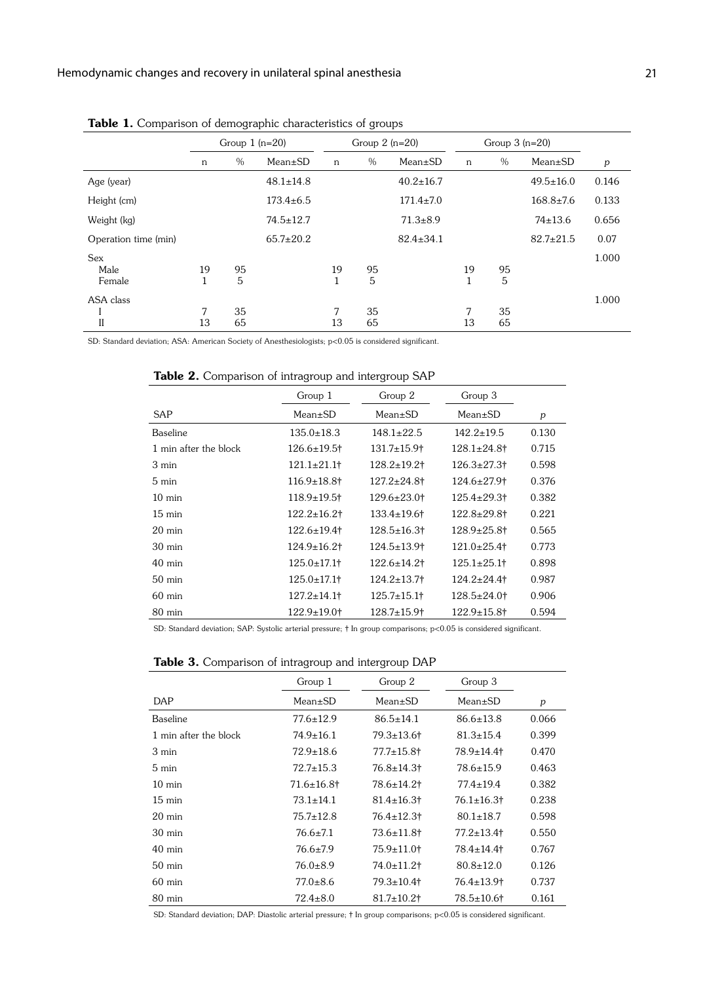|                              | Group $1(n=20)$ |          |                 | Group $2(n=20)$ |          |                 | Group $3(n=20)$ |          |                 |       |
|------------------------------|-----------------|----------|-----------------|-----------------|----------|-----------------|-----------------|----------|-----------------|-------|
|                              | n               | %        | $Mean \pm SD$   | n               | $\%$     | $Mean \pm SD$   | $\mathsf{n}$    | $\%$     | $Mean \pm SD$   | p     |
| Age (year)                   |                 |          | $48.1 \pm 14.8$ |                 |          | $40.2 \pm 16.7$ |                 |          | $49.5 \pm 16.0$ | 0.146 |
| Height (cm)                  |                 |          | $173.4 \pm 6.5$ |                 |          | $171.4 \pm 7.0$ |                 |          | $168.8 \pm 7.6$ | 0.133 |
| Weight (kg)                  |                 |          | $74.5 \pm 12.7$ |                 |          | $71.3 \pm 8.9$  |                 |          | $74 \pm 13.6$   | 0.656 |
| Operation time (min)         |                 |          | $65.7 \pm 20.2$ |                 |          | $82.4 \pm 34.1$ |                 |          | $82.7 \pm 21.5$ | 0.07  |
| <b>Sex</b><br>Male<br>Female | 19              | 95<br>5  |                 | 19              | 95<br>5  |                 | 19              | 95<br>5  |                 | 1.000 |
| ASA class<br>II              | 7<br>13         | 35<br>65 |                 | 7<br>13         | 35<br>65 |                 | 7<br>13         | 35<br>65 |                 | 1.000 |

Table 1. Comparison of demographic characteristics of groups

SD: Standard deviation; ASA: American Society of Anesthesiologists; p<0.05 is considered significant.

Table 2. Comparison of intragroup and intergroup SAP

|                       | Group 1<br>Group 2            |                               | Group 3                 |       |
|-----------------------|-------------------------------|-------------------------------|-------------------------|-------|
| SAP                   | $Mean \pm SD$                 | $Mean \pm SD$                 | $Mean \pm SD$           | p     |
| <b>Baseline</b>       | $135.0 \pm 18.3$              | $148.1 \pm 22.5$              | $142.2 \pm 19.5$        | 0.130 |
| 1 min after the block | $126.6 \pm 19.5$ †            | $131.7 \pm 15.9$ <sup>+</sup> | $128.1 \pm 24.8$ †      | 0.715 |
| 3 min                 | 121.1±21.1†                   | $128.2 \pm 19.2$ †            | $126.3 \pm 27.3$        | 0.598 |
| $5 \text{ min}$       | $116.9 \pm 18.8$ †            | $127.2 \pm 24.8$ †            | $124.6 \pm 27.9$        | 0.376 |
| $10 \text{ min}$      | 118.9±19.5†                   | $129.6 \pm 23.0$ †            | $125.4{\pm}29.3\dagger$ | 0.382 |
| $15 \text{ min}$      | $122.2 \pm 16.2$ †            | $133.4 \pm 19.6$              | $122.8 + 29.8$ t        | 0.221 |
| $20 \text{ min}$      | 122.6±19.4†                   | $128.5 \pm 16.3$              | $128.9 \pm 25.8$ †      | 0.565 |
| $30 \text{ min}$      | $124.9 \pm 16.2$              | $124.5 \pm 13.9$ <sup>+</sup> | $121.0+25.4$            | 0.773 |
| $40 \text{ min}$      | $125.0 \pm 17.1$              | $122.6 \pm 14.2$              | $125.1 \pm 25.1$        | 0.898 |
| $50 \text{ min}$      | $125.0 \pm 17.1$              | $124.2 \pm 13.7$              | $124.2 \pm 24.4$        | 0.987 |
| $60$ min              | $127.2 \pm 14.1$              | $125.7 \pm 15.1$              | $128.5 \pm 24.0$        | 0.906 |
| $80 \text{ min}$      | $122.9 \pm 19.0$ <sup>+</sup> | $128.7 \pm 15.9$ <sup>+</sup> | $122.9 \pm 15.8$ †      | 0.594 |

SD: Standard deviation; SAP: Systolic arterial pressure; † In group comparisons; p<0.05 is considered significant.

Table 3. Comparison of intragroup and intergroup DAP

|                       | Group 1           | Group 2                      | Group 3           |       |
|-----------------------|-------------------|------------------------------|-------------------|-------|
| DAP                   | $Mean \pm SD$     | $Mean \pm SD$                | $Mean \pm SD$     | p     |
| <b>Baseline</b>       | $77.6 \pm 12.9$   | $86.5 \pm 14.1$              | $86.6 \pm 13.8$   | 0.066 |
| 1 min after the block | $74.9 \pm 16.1$   | 79.3±13.6†                   | $81.3 \pm 15.4$   | 0.399 |
| 3 min                 | $72.9 \pm 18.6$   | $77.7 \pm 15.8$ t            | $78.9 \pm 14.4$   | 0.470 |
| $5 \text{ min}$       | $72.7 \pm 15.3$   | 76.8±14.3†                   | $78.6 \pm 15.9$   | 0.463 |
| $10 \text{ min}$      | $71.6 \pm 16.8$ † | 78.6±14.2†                   | $77.4 \pm 19.4$   | 0.382 |
| $15 \text{ min}$      | $73.1 \pm 14.1$   | $81.4 \pm 16.3$ <sup>+</sup> | $76.1 \pm 16.3$   | 0.238 |
| $20 \text{ min}$      | $75.7 \pm 12.8$   | $76.4 \pm 12.3$ t            | $80.1 \pm 18.7$   | 0.598 |
| $30 \text{ min}$      | $76.6 \pm 7.1$    | $73.6 \pm 11.8$ †            | $77.2 \pm 13.4$   | 0.550 |
| $40 \text{ min}$      | $76.6 \pm 7.9$    | $75.9 \pm 11.0$ <sup>+</sup> | $78.4 \pm 14.4$   | 0.767 |
| $50 \text{ min}$      | $76.0 \pm 8.9$    | 74.0±11.2†                   | $80.8 \pm 12.0$   | 0.126 |
| $60 \text{ min}$      | $77.0 + 8.6$      | $79.3 \pm 10.4$              | $76.4 \pm 13.9$   | 0.737 |
| $80 \text{ min}$      | $72.4 \pm 8.0$    | $81.7 \pm 10.2$ †            | $78.5 \pm 10.6$ † | 0.161 |

SD: Standard deviation; DAP: Diastolic arterial pressure; † In group comparisons; p<0.05 is considered significant.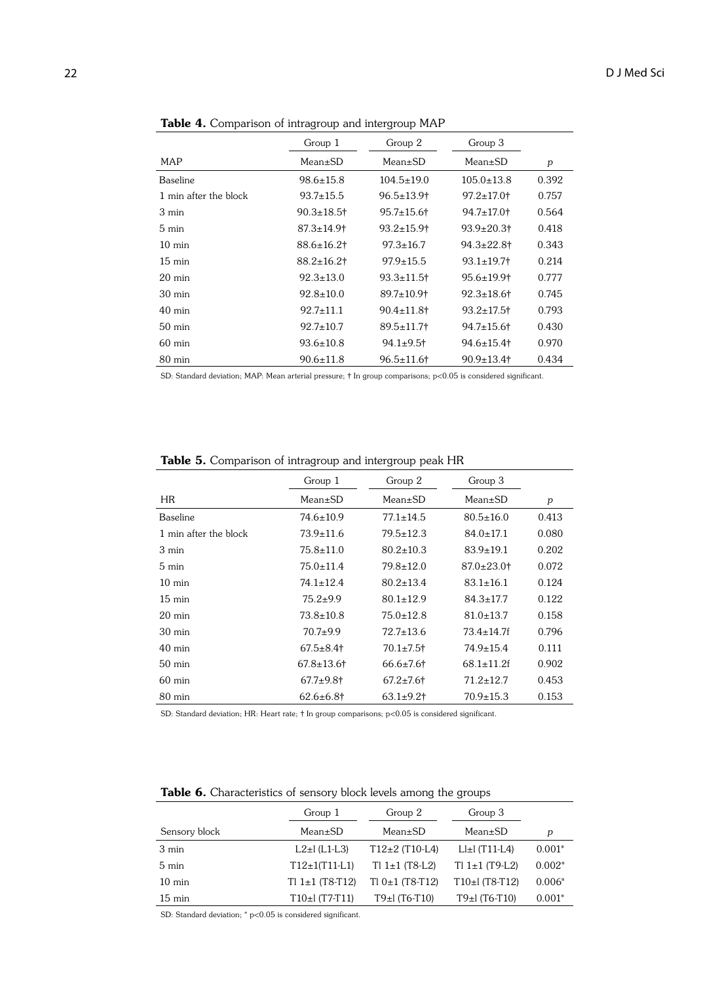| $\sim$ comparison or managroup and morgroup $\cdot$ is in |                   |                              |                              |       |  |  |  |
|-----------------------------------------------------------|-------------------|------------------------------|------------------------------|-------|--|--|--|
|                                                           | Group 1           | Group 2                      | Group 3                      |       |  |  |  |
| MAP                                                       | $Mean \pm SD$     | $Mean \pm SD$                | $Mean \pm SD$                | p     |  |  |  |
| <b>Baseline</b>                                           | $98.6 \pm 15.8$   | $104.5 \pm 19.0$             | $105.0 \pm 13.8$             | 0.392 |  |  |  |
| 1 min after the block                                     | $93.7 \pm 15.5$   | $96.5 \pm 13.9$ <sup>+</sup> | $97.2 \pm 17.0$ <sup>+</sup> | 0.757 |  |  |  |
| 3 min                                                     | $90.3 \pm 18.5$ † | $95.7 \pm 15.6$ †            | $94.7 \pm 17.0$ <sup>+</sup> | 0.564 |  |  |  |
| $5 \text{ min}$                                           | $87.3 \pm 14.9$   | $93.2 \pm 15.9$              | $93.9 \pm 20.3$ t            | 0.418 |  |  |  |
| $10 \text{ min}$                                          | $88.6 \pm 16.2$ † | $97.3 \pm 16.7$              | $94.3 \pm 22.8$ t            | 0.343 |  |  |  |
| $15 \text{ min}$                                          | $88.2 \pm 16.2$ † | $97.9 \pm 15.5$              | $93.1 \pm 19.7$              | 0.214 |  |  |  |
| $20 \text{ min}$                                          | $92.3 \pm 13.0$   | $93.3 \pm 11.5$              | $95.6 \pm 19.9$ <sup>+</sup> | 0.777 |  |  |  |
| $30 \text{ min}$                                          | $92.8 \pm 10.0$   | $89.7 \pm 10.9$ <sup>+</sup> | $92.3 \pm 18.6$              | 0.745 |  |  |  |
| $40 \text{ min}$                                          | $92.7 \pm 11.1$   | $90.4 \pm 11.8$ †            | $93.2 \pm 17.5$              | 0.793 |  |  |  |
| $50 \text{ min}$                                          | $92.7 \pm 10.7$   | $89.5 \pm 11.7$              | $94.7 \pm 15.6$              | 0.430 |  |  |  |
| $60 \text{ min}$                                          | $93.6 \pm 10.8$   | $94.1 \pm 9.5$ †             | $94.6 \pm 15.4$              | 0.970 |  |  |  |
| $80 \text{ min}$                                          | 90.6±11.8         | $96.5 \pm 11.6$              | $90.9 \pm 13.4$              | 0.434 |  |  |  |

Table 4. Comparison of intragroup and intergroup MAP

SD: Standard deviation; MAP: Mean arterial pressure; † In group comparisons; p<0.05 is considered significant.

|                       | Group 1         | Group 2         | Group 3                      |       |
|-----------------------|-----------------|-----------------|------------------------------|-------|
| HR.                   | $Mean \pm SD$   | $Mean \pm SD$   | $Mean \pm SD$                | p     |
| <b>Baseline</b>       | $74.6 \pm 10.9$ | $77.1 \pm 14.5$ | $80.5 \pm 16.0$              | 0.413 |
| 1 min after the block | $73.9 \pm 11.6$ | $79.5 \pm 12.3$ | $84.0 \pm 17.1$              | 0.080 |
| 3 min                 | $75.8 \pm 11.0$ | $80.2 \pm 10.3$ | $83.9 \pm 19.1$              | 0.202 |
| 5 min                 | $75.0 \pm 11.4$ | $79.8 \pm 12.0$ | $87.0 \pm 23.0$ <sup>+</sup> | 0.072 |
| $10 \text{ min}$      | $74.1 \pm 12.4$ | $80.2 \pm 13.4$ | $83.1 \pm 16.1$              | 0.124 |
| $15 \text{ min}$      | $75.2 + 9.9$    | $80.1 \pm 12.9$ | $84.3 \pm 17.7$              | 0.122 |
| $20 \text{ min}$      | $73.8 \pm 10.8$ | $75.0 \pm 12.8$ | $81.0 \pm 13.7$              | 0.158 |
| $30 \text{ min}$      | $70.7+9.9$      | $72.7 \pm 13.6$ | $73.4 \pm 14.7f$             | 0.796 |
|                       |                 |                 |                              |       |

40 min 67.5±8.4† 70.1±7.5† 74.9±15.4 0.111 50 min 67.8±13.6† 66.6±7.6† 68.1±11.2f 0.902 60 min 67.7±9.8† 67.2±7.6† 71.2±12.7 0.453 80 min 62.6±6.8† 63.1±9.2† 70.9±15.3 0.153

Table 5. Comparison of intragroup and intergroup peak HR

SD: Standard deviation; HR: Heart rate; † In group comparisons; p<0.05 is considered significant.

|                  | Group 1               | Group 2           | Group 3                                                                                                                              |          |
|------------------|-----------------------|-------------------|--------------------------------------------------------------------------------------------------------------------------------------|----------|
| Sensory block    | $Mean \pm SD$         | $Mean \pm SD$     | $Mean \pm SD$                                                                                                                        | p        |
| 3 min            | $L2 \pm l$ (L1-L3)    | $T12+2$ (T10-L4)  | $L\n  1\n L2\n L1\n L2\n L3\n L4\n L5\n L5\n L6\n L7\n L7\n L8\n L9\n L10\n L11\n L11\n L12\n L13\n L14\n L15\n L16\n L16\n L17\n L$ | $0.001*$ |
| 5 min            | $T12 \pm 1(T11 - L1)$ | $TI 1±1$ (T8-L2)  | $TI 1±1(T9-L2)$                                                                                                                      | $0.002*$ |
| $10 \text{ min}$ | $TI 1±1(T8-T12)$      | $T10±1$ (T8-T12)  | $T10 \pm 1$ (T8-T12)                                                                                                                 | $0.006*$ |
| $15 \text{ min}$ | T10±l (T7-T11)        | $T9\pm 1(T6-T10)$ | T9±l (T6-T10)                                                                                                                        | $0.001*$ |

SD: Standard deviation; \* p<0.05 is considered significant.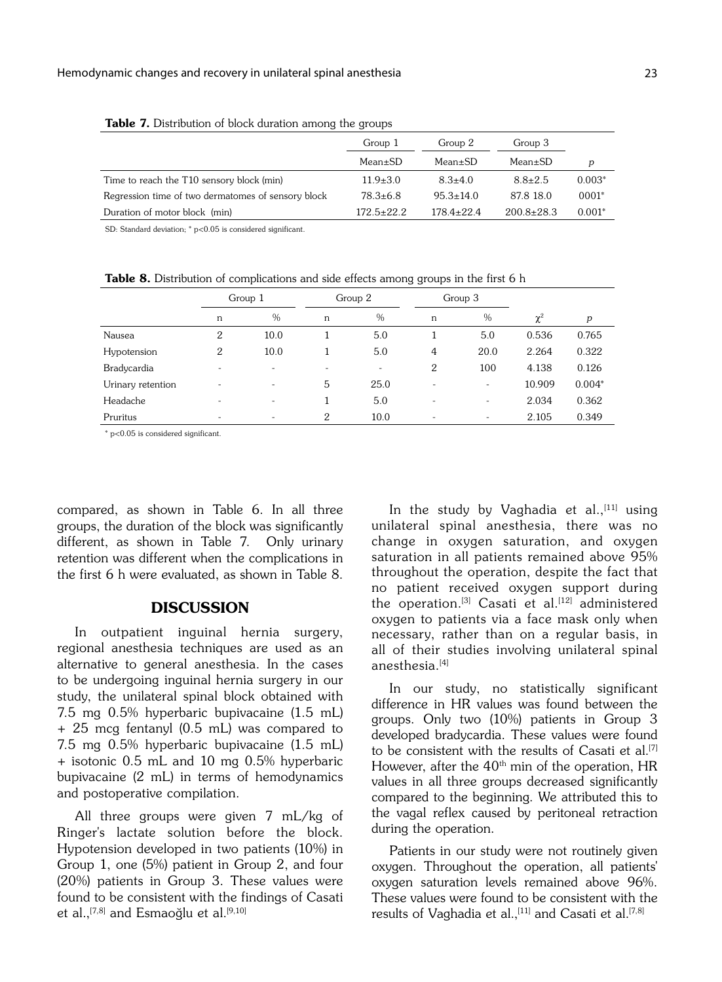|                                                    | Group 1          | Group 2          | Group 3          |          |
|----------------------------------------------------|------------------|------------------|------------------|----------|
|                                                    | $Mean \pm SD$    | $Mean \pm SD$    | $Mean \pm SD$    | p        |
| Time to reach the T10 sensory block (min)          | $11.9 \pm 3.0$   | $8.3 \pm 4.0$    | $8.8 \pm 2.5$    | $0.003*$ |
| Regression time of two dermatomes of sensory block | $78.3 \pm 6.8$   | $95.3 \pm 14.0$  | 87.8 18.0        | $0001*$  |
| Duration of motor block (min)                      | $172.5 \pm 22.2$ | $178.4 \pm 22.4$ | $200.8 \pm 28.3$ | $0.001*$ |

Table 7. Distribution of block duration among the groups

SD: Standard deviation; \* p<0.05 is considered significant.

Group 1 Group 2 Group 3

Table 8. Distribution of complications and side effects among groups in the first 6 h

|                   |                          | <b>U</b> roup 1          |   | UUUUDZ                   |                          | o qida o                 |          |          |
|-------------------|--------------------------|--------------------------|---|--------------------------|--------------------------|--------------------------|----------|----------|
|                   | n                        | $\%$                     | n | $\%$                     | n                        | $\frac{0}{0}$            | $\chi^2$ | p        |
| Nausea            | 2                        | 10.0                     |   | 5.0                      |                          | 5.0                      | 0.536    | 0.765    |
| Hypotension       | 2                        | 10.0                     |   | 5.0                      | 4                        | 20.0                     | 2.264    | 0.322    |
| Bradycardia       |                          |                          |   | $\overline{\phantom{a}}$ | $\overline{2}$           | 100                      | 4.138    | 0.126    |
| Urinary retention | $\overline{\phantom{0}}$ | $\overline{\phantom{0}}$ | 5 | 25.0                     | $\overline{\phantom{a}}$ | $\overline{\phantom{a}}$ | 10.909   | $0.004*$ |
| Headache          |                          |                          |   | 5.0                      | $\overline{\phantom{a}}$ | $\overline{\phantom{0}}$ | 2.034    | 0.362    |
| Pruritus          |                          |                          | 2 | 10.0                     | $\overline{\phantom{a}}$ | $\overline{\phantom{0}}$ | 2.105    | 0.349    |
|                   |                          |                          |   |                          |                          |                          |          |          |

\* p<0.05 is considered significant.

compared, as shown in Table 6. In all three groups, the duration of the block was significantly different, as shown in Table 7. Only urinary retention was different when the complications in the first 6 h were evaluated, as shown in Table 8.

### DISCUSSION

In outpatient inguinal hernia surgery, regional anesthesia techniques are used as an alternative to general anesthesia. In the cases to be undergoing inguinal hernia surgery in our study, the unilateral spinal block obtained with 7.5 mg 0.5% hyperbaric bupivacaine (1.5 mL) + 25 mcg fentanyl (0.5 mL) was compared to 7.5 mg 0.5% hyperbaric bupivacaine (1.5 mL) + isotonic 0.5 mL and 10 mg 0.5% hyperbaric bupivacaine (2 mL) in terms of hemodynamics and postoperative compilation.

All three groups were given 7 mL/kg of Ringer's lactate solution before the block. Hypotension developed in two patients (10%) in Group 1, one (5%) patient in Group 2, and four (20%) patients in Group 3. These values were found to be consistent with the findings of Casati et al.,<sup>[7,8]</sup> and Esmaoğlu et al.<sup>[9,10]</sup>

In the study by Vaghadia et al., [11] using unilateral spinal anesthesia, there was no change in oxygen saturation, and oxvgen saturation in all patients remained above 95% throughout the operation, despite the fact that no patient received oxygen support during the operation.<sup>[3]</sup> Casati et al.<sup>[12]</sup> administered oxygen to patients via a face mask only when necessary, rather than on a regular basis, in all of their studies involving unilateral spinal anesthesia.<sup>[4]</sup>

In our study, no statistically significant difference in HR values was found between the groups. Only two (10%) patients in Group 3 developed bradycardia. These values were found to be consistent with the results of Casati et al.<sup>[7]</sup> However, after the  $40<sup>th</sup>$  min of the operation, HR values in all three groups decreased significantly compared to the beginning. We attributed this to the vagal reflex caused by peritoneal retraction during the operation.

Patients in our study were not routinely given oxygen. Throughout the operation, all patients' oxygen saturation levels remained above 96%. These values were found to be consistent with the results of Vaghadia et al.,<sup>[11]</sup> and Casati et al.<sup>[7,8]</sup>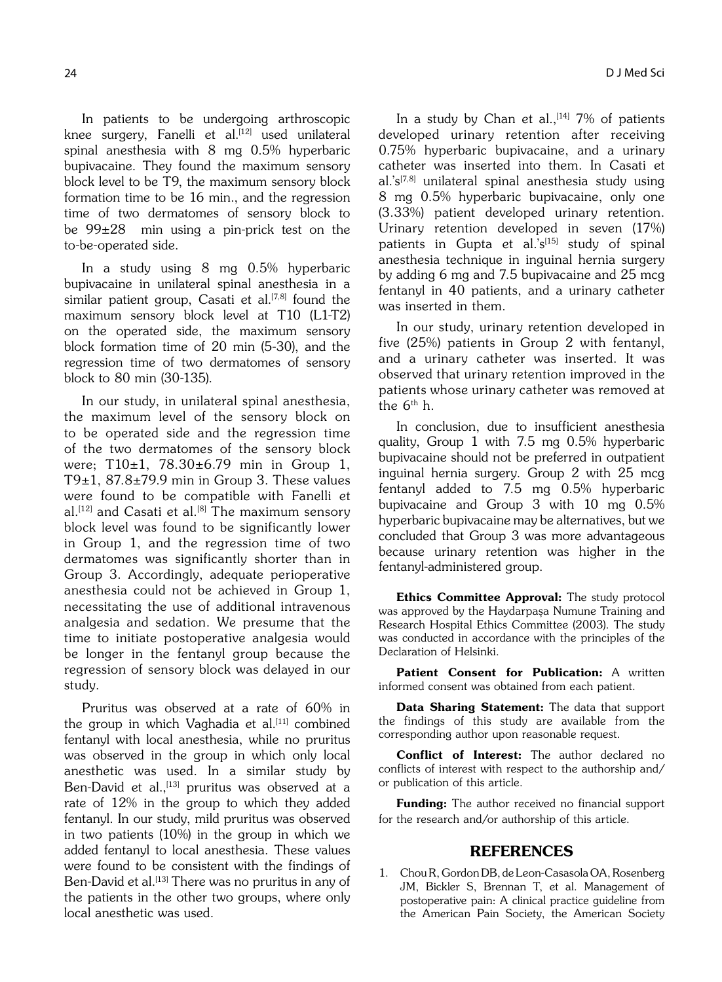In patients to be undergoing arthroscopic knee surgery, Fanelli et al.<sup>[12]</sup> used unilateral spinal anesthesia with 8 mg 0.5% hyperbaric bupivacaine. They found the maximum sensory block level to be T9, the maximum sensory block formation time to be 16 min., and the regression time of two dermatomes of sensory block to be 99±28 min using a pin-prick test on the to-be-operated side.

In a study using 8 mg 0.5% hyperbaric bupivacaine in unilateral spinal anesthesia in a similar patient group, Casati et al.<sup>[7,8]</sup> found the maximum sensory block level at T10 (L1-T2) on the operated side, the maximum sensory block formation time of 20 min (5-30), and the regression time of two dermatomes of sensory block to 80 min (30-135).

In our study, in unilateral spinal anesthesia, the maximum level of the sensory block on to be operated side and the regression time of the two dermatomes of the sensory block were; T10±1, 78.30±6.79 min in Group 1, T9 $\pm$ 1, 87.8 $\pm$ 79.9 min in Group 3. These values were found to be compatible with Fanelli et  $al.$ <sup>[12]</sup> and Casati et al.<sup>[8]</sup> The maximum sensory block level was found to be significantly lower in Group 1, and the regression time of two dermatomes was significantly shorter than in Group 3. Accordingly, adequate perioperative anesthesia could not be achieved in Group 1, necessitating the use of additional intravenous analgesia and sedation. We presume that the time to initiate postoperative analgesia would be longer in the fentanyl group because the regression of sensory block was delayed in our study.

Pruritus was observed at a rate of 60% in the group in which Vaghadia et al.<sup>[11]</sup> combined fentanyl with local anesthesia, while no pruritus was observed in the group in which only local anesthetic was used. In a similar study by Ben-David et al.,<sup>[13]</sup> pruritus was observed at a rate of 12% in the group to which they added fentanyl. In our study, mild pruritus was observed in two patients (10%) in the group in which we added fentanyl to local anesthesia. These values were found to be consistent with the findings of Ben-David et al.<sup>[13]</sup> There was no pruritus in any of the patients in the other two groups, where only local anesthetic was used.

In a study by Chan et al.,  $[14]$  7% of patients developed urinary retention after receiving 0.75% hyperbaric bupivacaine, and a urinary catheter was inserted into them. In Casati et al.'s<sup>[7,8]</sup> unilateral spinal anesthesia study using 8 mg 0.5% hyperbaric bupivacaine, only one (3.33%) patient developed urinary retention. Urinary retention developed in seven (17%) patients in Gupta et al.'s<sup>[15]</sup> study of spinal anesthesia technique in inguinal hernia surgery by adding 6 mg and 7.5 bupivacaine and 25 mcg fentanyl in 40 patients, and a urinary catheter was inserted in them.

In our study, urinary retention developed in five (25%) patients in Group 2 with fentanyl, and a urinary catheter was inserted. It was observed that urinary retention improved in the patients whose urinary catheter was removed at the  $6<sup>th</sup>$ h.

In conclusion, due to insufficient anesthesia quality, Group 1 with 7.5 mg 0.5% hyperbaric bupivacaine should not be preferred in outpatient inguinal hernia surgery. Group 2 with 25 mcg fentanyl added to 7.5 mg 0.5% hyperbaric bupivacaine and Group 3 with 10 mg 0.5% hyperbaric bupivacaine may be alternatives, but we concluded that Group 3 was more advantageous because urinary retention was higher in the fentanyl-administered group.

Ethics Committee Approval: The study protocol was approved by the Haydarpaşa Numune Training and Research Hospital Ethics Committee (2003). The study was conducted in accordance with the principles of the Declaration of Helsinki.

Patient Consent for Publication: A written informed consent was obtained from each patient.

Data Sharing Statement: The data that support the findings of this study are available from the corresponding author upon reasonable request.

Conflict of Interest: The author declared no conflicts of interest with respect to the authorship and/ or publication of this article.

Funding: The author received no financial support for the research and/or authorship of this article.

# REFERENCES

1. Chou R, Gordon DB, de Leon-Casasola OA, Rosenberg JM, Bickler S, Brennan T, et al. Management of postoperative pain: A clinical practice guideline from the American Pain Society, the American Society